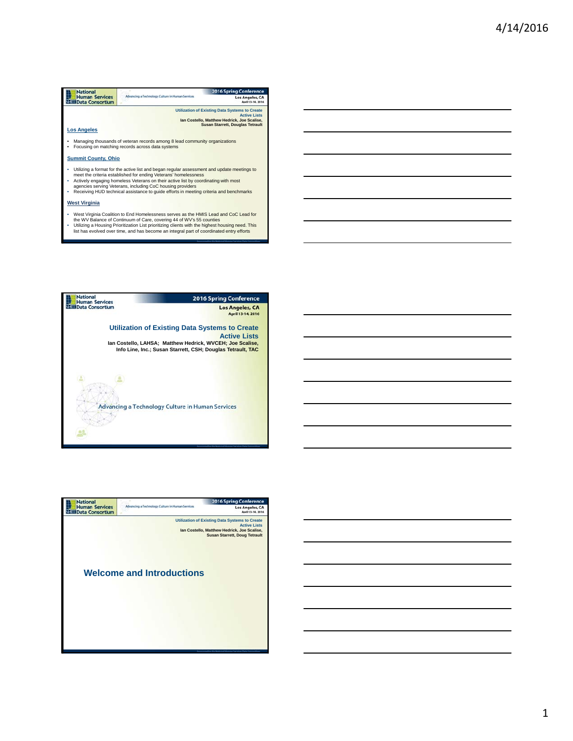

Mest Virginia Coalition to End Homelessness serves as the HMIS Lead and CoC Lead for<br>the WV Balance of Continuum of Care, covering 44 of WV's 55 counties<br>Utilizing a Housing Prioritization List prioritizing clients with th



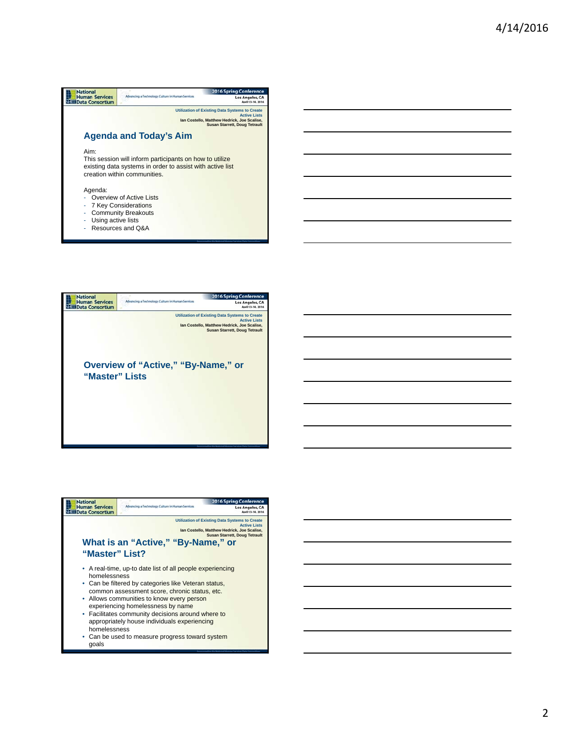

- Resources and Q&A



| <b>National</b><br><b>Human Services</b><br><b>Data Consortium</b> | Advancing a Technology Culture in Human Services                                                                                                                                                                                                                                                                                                          | <b>2016 Spring Conference</b><br><b>Los Angeles, CA</b>                                                                                                             |
|--------------------------------------------------------------------|-----------------------------------------------------------------------------------------------------------------------------------------------------------------------------------------------------------------------------------------------------------------------------------------------------------------------------------------------------------|---------------------------------------------------------------------------------------------------------------------------------------------------------------------|
|                                                                    |                                                                                                                                                                                                                                                                                                                                                           | <b>Utilization of Existing Data Systems to Create</b><br><b>Active Lists</b><br>Ian Costello, Matthew Hedrick, Joe Scalise,<br><b>Susan Starrett, Doug Tetrault</b> |
| "Master" List?                                                     | What is an "Active," "By-Name," or                                                                                                                                                                                                                                                                                                                        |                                                                                                                                                                     |
| homelessness<br>homelessness                                       | • A real-time, up-to date list of all people experiencing<br>• Can be filtered by categories like Veteran status,<br>common assessment score, chronic status, etc.<br>• Allows communities to know every person<br>experiencing homelessness by name<br>• Facilitates community decisions around where to<br>appropriately house individuals experiencing |                                                                                                                                                                     |

• Can be used to measure progress toward system goals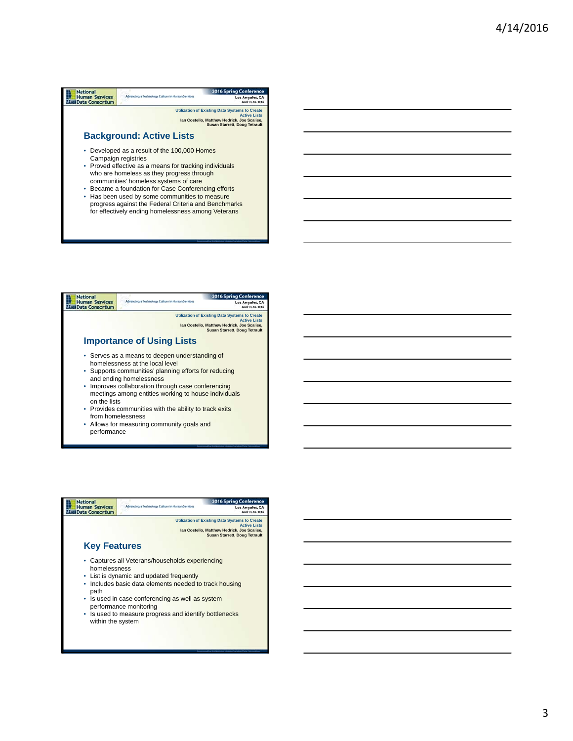# **National**<br>
Human Services<br>
Nata Consortium 2016 Spring Conf Advancing a Technology Culture in Hi Los Angeles, CA **Utilization of Existing Data Systems to Create Active Lists Ian Costello, Matthew Hedrick, Joe Scalise, Susan Starrett, Doug Tetrault Background: Active Lists** • Developed as a result of the 100,000 Homes Campaign registries

- Proved effective as a means for tracking individuals who are homeless as they progress through communities' homeless systems of care
- Became a foundation for Case Conferencing efforts
- Has been used by some communities to measure progress against the Federal Criteria and Benchmarks for effectively ending homelessness among Veterans



- from homelessness
- Allows for measuring community goals and performance

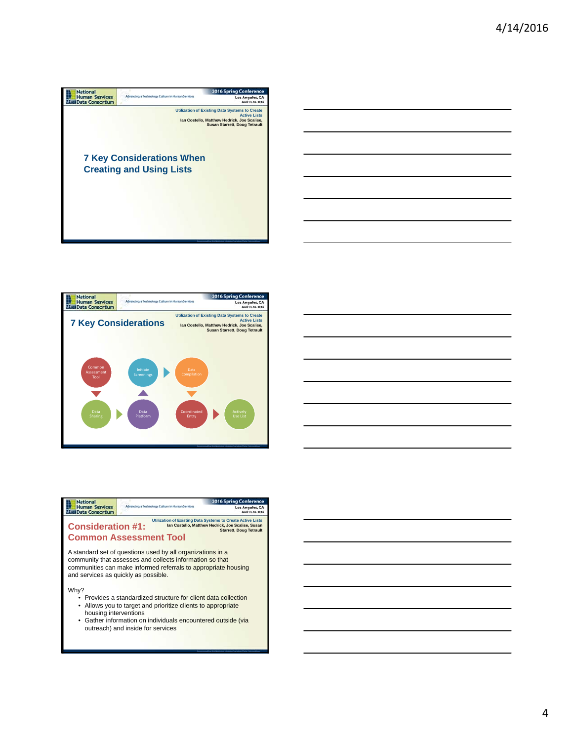







outreach) and inside for services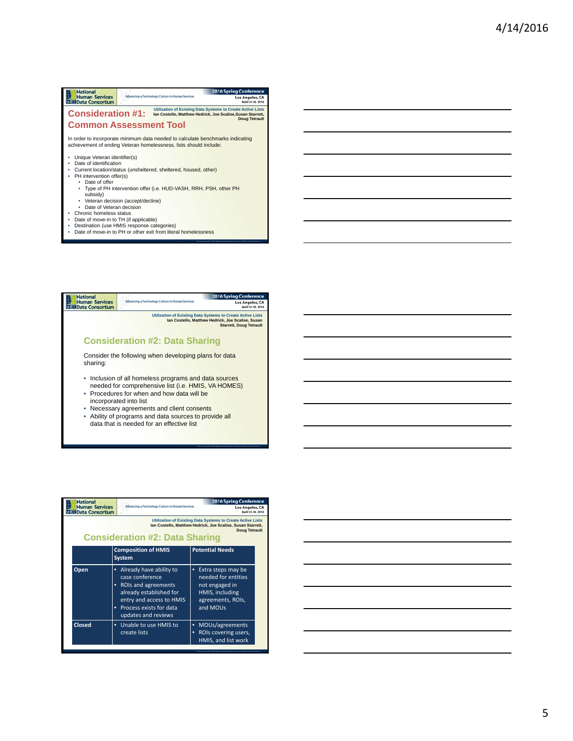### **National**<br>
Human Services<br>
X<sub>333</sub> Data Consortium 2016 Spring Conferer Advancing a Technology Culture in Human Services Los Angeles, CA Consideration #1: Utilization of Existing Data Systems to Create Active Lists<br> **Consideration Starrett, Active Lists**<br>
Doug Tetrault **Common Assessment Tool** In order to incorporate minimum data needed to calculate benchmarks indicating achievement of ending Veteran homelessness, lists should include: • Unique Veteran identifier(s) • Date of identification • Current location/status (unsheltered, sheltered, housed, other) • PH intervention offer(s) • Date of offer • Type of PH intervention offer (i.e. HUD-VASH, RRH, PSH, other PH subsidy) • Veteran decision (accept/decline) • Date of Veteran decision • Chronic homeless status

- Date of move-in to TH (if applicable) Destination (use HMIS response categories)
- Date of move-in to PH or other exit from literal homelessness



| <b>National</b><br><b>Human Services</b><br><b>Data Consortium</b>                                                                                                                                 | Advancing a Technology Culture in Human Services                                                                                                                           | <b>2016 Spring Conference</b><br>Los Angeles, CA<br>April 13-14, 2016                                                |
|----------------------------------------------------------------------------------------------------------------------------------------------------------------------------------------------------|----------------------------------------------------------------------------------------------------------------------------------------------------------------------------|----------------------------------------------------------------------------------------------------------------------|
| <b>Utilization of Existing Data Systems to Create Active Lists</b><br>Ian Costello, Matthew Hedrick, Joe Scalise, Susan Starrett,<br><b>Doug Tetrault</b><br><b>Consideration #2: Data Sharing</b> |                                                                                                                                                                            |                                                                                                                      |
|                                                                                                                                                                                                    | <b>Composition of HMIS</b><br><b>System</b>                                                                                                                                | <b>Potential Needs</b>                                                                                               |
| Open                                                                                                                                                                                               | Already have ability to<br>case conference<br>ROIs and agreements<br>already established for<br>entry and access to HMIS<br>Process exists for data<br>updates and reviews | Extra steps may be<br>٠<br>needed for entities<br>not engaged in<br>HMIS, including<br>agreements, ROIs,<br>and MOUs |
| <b>Closed</b>                                                                                                                                                                                      | Unable to use HMIS to<br>٠<br>create lists                                                                                                                                 | MOUs/agreements<br>٠<br>ROIs covering users,<br>٠<br>HMIS, and list work                                             |

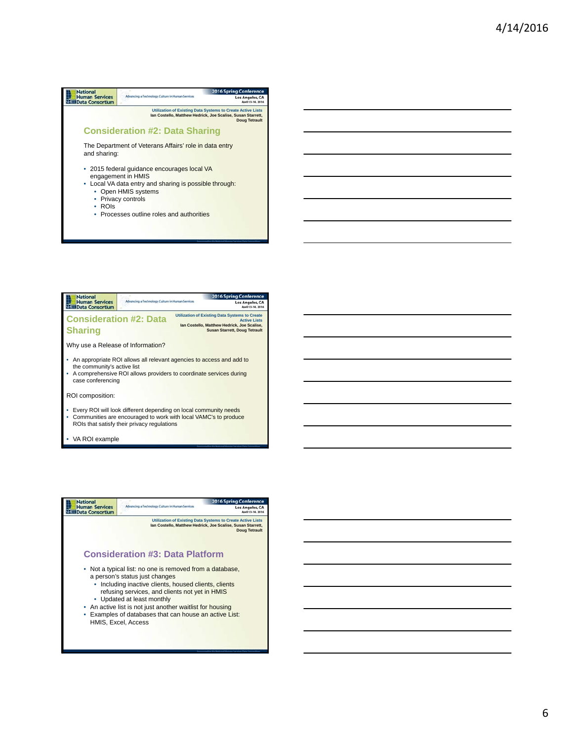### **National**<br>
Human Services<br>
N<sub>152</sub> Data Consortium 2016 Spring Confe Advancing a Tec ana Cultura in Hi Los Angeles, CA **Utilization of Existing Data Systems to Create Active Lists Ian Costello, Matthew Hedrick, Joe Scalise, Susan Starrett, Doug Tetrault Consideration #2: Data Sharing** The Department of Veterans Affairs' role in data entry and sharing: • 2015 federal guidance encourages local VA engagement in HMIS • Local VA data entry and sharing is possible through: • Open HMIS systems • Privacy controls • ROIs • Processes outline roles and authorities



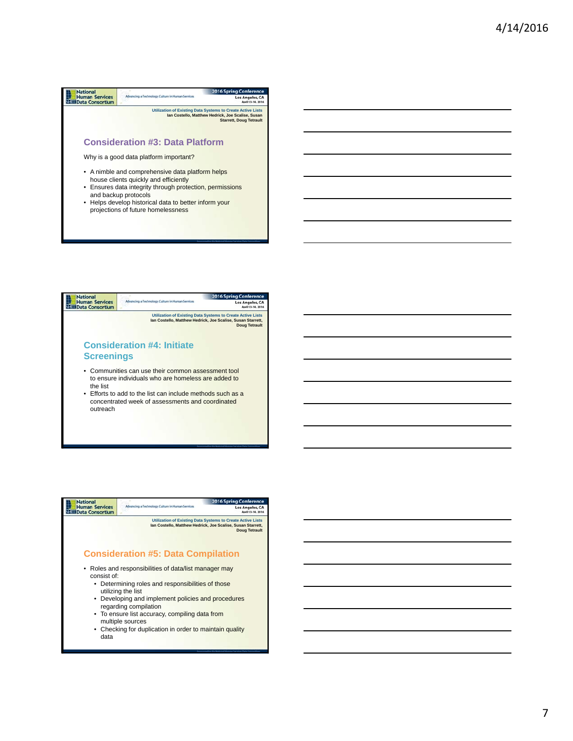#### **Experience Human Services**<br> **Experience Human Services**<br> **Experience Consortium** 2016 Spring Confe Advancing a Techn .<br>Anna Cuiltean in bhe man Candral Los Angeles, CA **Utilization of Existing Data Systems to Create Active Lists Ian Costello, Matthew Hedrick, Joe Scalise, Susan Starrett, Doug Tetrault Consideration #3: Data Platform**

Why is a good data platform important?

- A nimble and comprehensive data platform helps house clients quickly and efficiently
- Ensures data integrity through protection, permissions and backup protocols
- Helps develop historical data to better inform your projections of future homelessness





• Checking for duplication in order to maintain quality data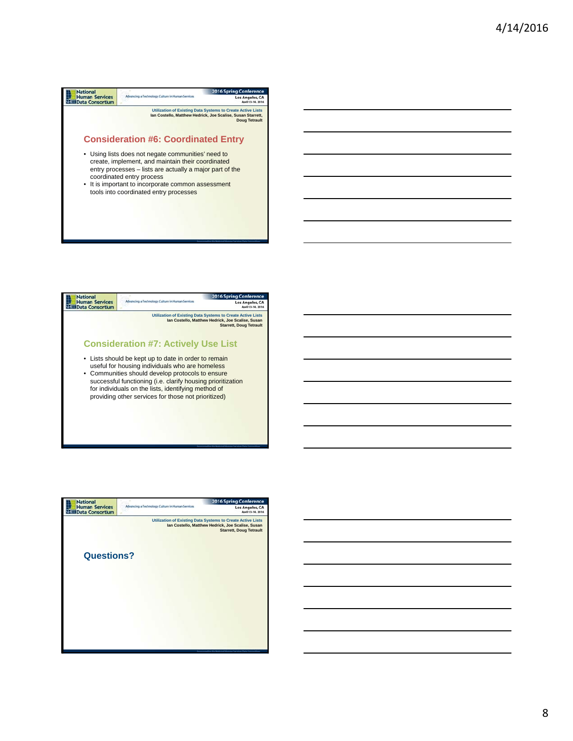| <b>National</b>                                                                                                                                                                                                                                                                                                                                | Advancing a Technology Culture in Human Services | <b>2016 Spring Conference</b>                                                                                                                             |  |
|------------------------------------------------------------------------------------------------------------------------------------------------------------------------------------------------------------------------------------------------------------------------------------------------------------------------------------------------|--------------------------------------------------|-----------------------------------------------------------------------------------------------------------------------------------------------------------|--|
| <b>Human Services</b><br><b>Data Consortium</b>                                                                                                                                                                                                                                                                                                |                                                  | Los Angeles, CA                                                                                                                                           |  |
|                                                                                                                                                                                                                                                                                                                                                |                                                  | <b>Utilization of Existing Data Systems to Create Active Lists</b><br>Ian Costello, Matthew Hedrick, Joe Scalise, Susan Starrett,<br><b>Doug Tetrault</b> |  |
|                                                                                                                                                                                                                                                                                                                                                |                                                  |                                                                                                                                                           |  |
| <b>Consideration #6: Coordinated Entry</b><br>• Using lists does not negate communities' need to<br>create, implement, and maintain their coordinated<br>entry processes – lists are actually a major part of the<br>coordinated entry process<br>• It is important to incorporate common assessment<br>tools into coordinated entry processes |                                                  |                                                                                                                                                           |  |





# 8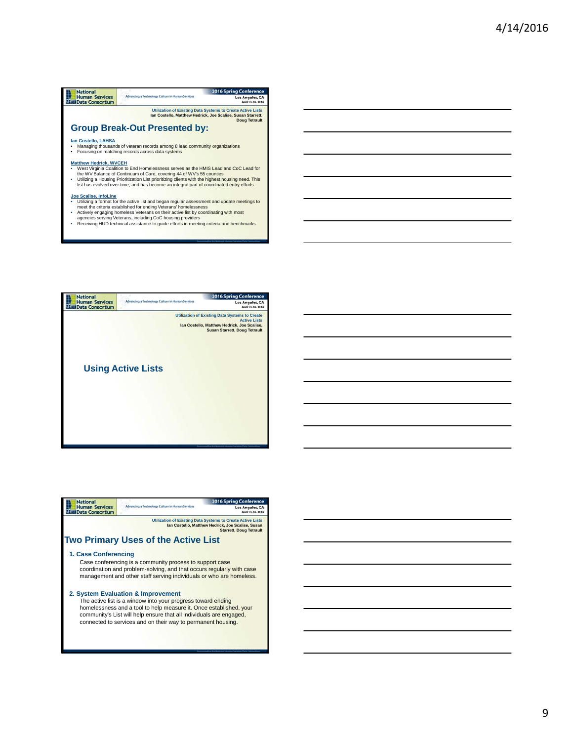# **Mational**<br>
Human Services<br>
N<sub>328</sub> Data Consortium 2016 Spring Conference Advancing a Technology Culture in Human Services Los Angeles, CA **Utilization of Existing Data Systems to Create Active Lists Ian Costello, Matthew Hedrick, Joe Scalise, Susan Starrett, Doug Tetrault Group Break-Out Presented by: Ian Costello, LAHSA** • Managing thousands of veteran records among 8 lead community organizations • Focusing on matching records across data systems Matthew Hedrick, WVCEH<br>• West Virginia Coalition to End Homelessness serves as the HMIS Lead and CoC Lead for<br>• the WV Balance of Continuum of Care, covering 44 of WV's 55 counties<br>• Utilizing a Housing Prioritization List **Joe Scalise, Infoline**<br>
• Utilizing a format for the active list and began regular assessment and update meetings to<br>
the meet the criteria established for ending Veterans' homelessness<br>
• Actively engaging homeless Veter

- 
- 



| <b>National</b>                                                                                                                                                                                                                                                                                                 |                                                  | <b>2016 Spring Conference</b> |
|-----------------------------------------------------------------------------------------------------------------------------------------------------------------------------------------------------------------------------------------------------------------------------------------------------------------|--------------------------------------------------|-------------------------------|
| <b>Human Services</b><br><b>Data Consortium</b>                                                                                                                                                                                                                                                                 | Advancing a Technology Culture in Human Services | <b>Los Angeles, CA</b>        |
| Utilization of Existing Data Systems to Create Active Lists<br>Ian Costello, Matthew Hedrick, Joe Scalise, Susan<br><b>Starrett, Doug Tetrault</b>                                                                                                                                                              |                                                  |                               |
| <b>Two Primary Uses of the Active List</b>                                                                                                                                                                                                                                                                      |                                                  |                               |
| 1. Case Conferencing<br>Case conferencing is a community process to support case<br>coordination and problem-solving, and that occurs regularly with case<br>management and other staff serving individuals or who are homeless.                                                                                |                                                  |                               |
| 2. System Evaluation & Improvement<br>The active list is a window into your progress toward ending<br>homelessness and a tool to help measure it. Once established, your<br>community's List will help ensure that all individuals are engaged,<br>connected to services and on their way to permanent housing. |                                                  |                               |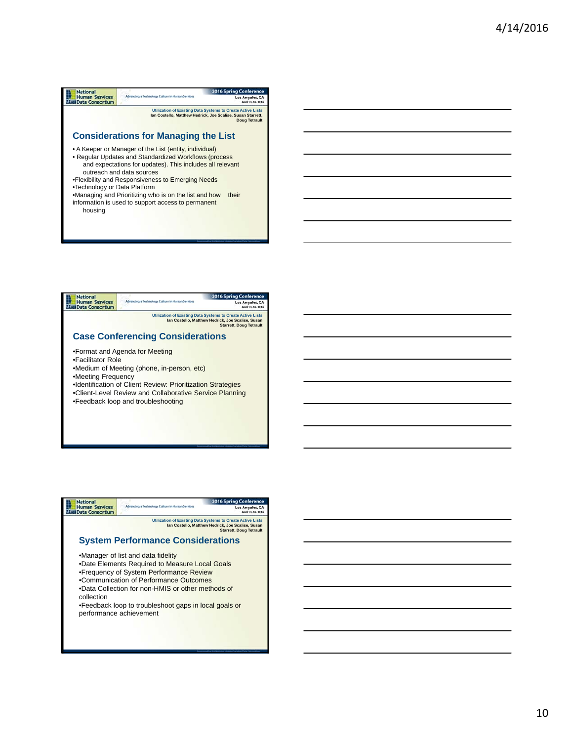# **National**<br>
Human Services<br>
N<sub>152</sub> Data Consortium 2016 Spring Confe Advancing a Tech .<br>Anna Cuilteana les bhornain Samainais Los Angeles, CA **Utilization of Existing Data Systems to Create Active Lists Ian Costello, Matthew Hedrick, Joe Scalise, Susan Starrett, Doug Tetrault Considerations for Managing the List** • A Keeper or Manager of the List (entity, individual) • Regular Updates and Standardized Workflows (process and expectations for updates). This includes all relevant outreach and data sources •Flexibility and Responsiveness to Emerging Needs •Technology or Data Platform •Managing and Prioritizing who is on the list and how their information is used to support access to permanent housing





10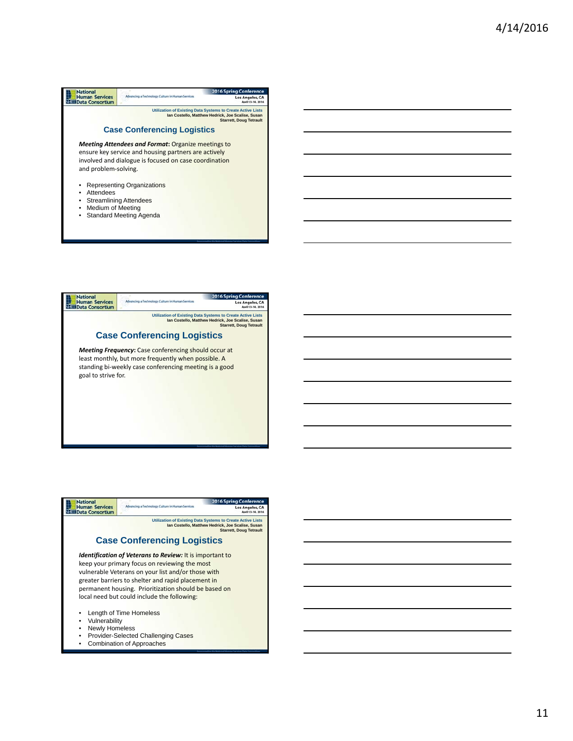





- Provider-Selected Challenging Cases
- Combination of Approaches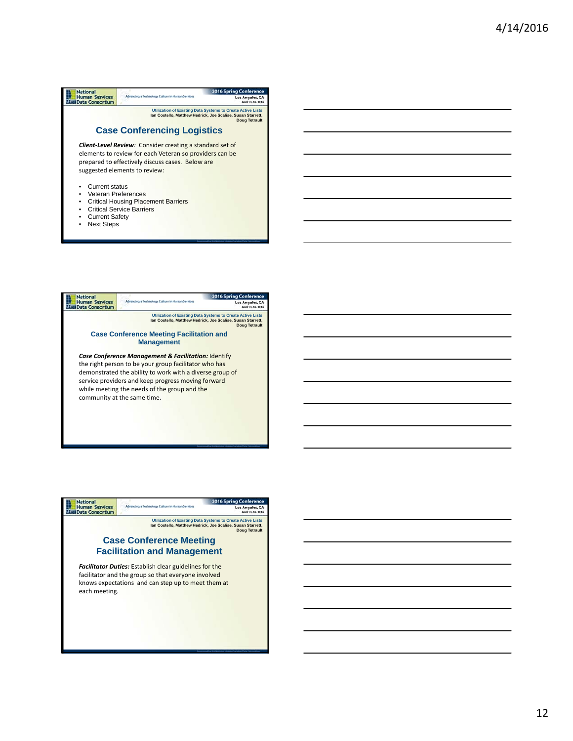| National                                        | Advancing a Technology Culture in Human Services                                                                           | <b>2016 Spring Conference</b>                                                                                                                             |
|-------------------------------------------------|----------------------------------------------------------------------------------------------------------------------------|-----------------------------------------------------------------------------------------------------------------------------------------------------------|
| <b>Human Services</b><br><b>Data Consortium</b> |                                                                                                                            | Los Angeles, CA                                                                                                                                           |
|                                                 |                                                                                                                            | <b>Utilization of Existing Data Systems to Create Active Lists</b><br>Ian Costello, Matthew Hedrick, Joe Scalise, Susan Starrett,<br><b>Doug Tetrault</b> |
|                                                 | <b>Case Conferencing Logistics</b>                                                                                         |                                                                                                                                                           |
|                                                 | <b>Client-Level Review:</b> Consider creating a standard set of<br>elements to review for each Veteran so providers can be |                                                                                                                                                           |
|                                                 | prepared to effectively discuss cases. Below are                                                                           |                                                                                                                                                           |
|                                                 | suggested elements to review:                                                                                              |                                                                                                                                                           |
|                                                 |                                                                                                                            |                                                                                                                                                           |
| <b>Current status</b>                           |                                                                                                                            |                                                                                                                                                           |
| Veteran Preferences                             |                                                                                                                            |                                                                                                                                                           |
|                                                 | <b>Critical Housing Placement Barriers</b>                                                                                 |                                                                                                                                                           |
|                                                 | <b>Critical Service Barriers</b>                                                                                           |                                                                                                                                                           |
| <b>Current Safety</b>                           |                                                                                                                            |                                                                                                                                                           |
| <b>Next Steps</b>                               |                                                                                                                            |                                                                                                                                                           |



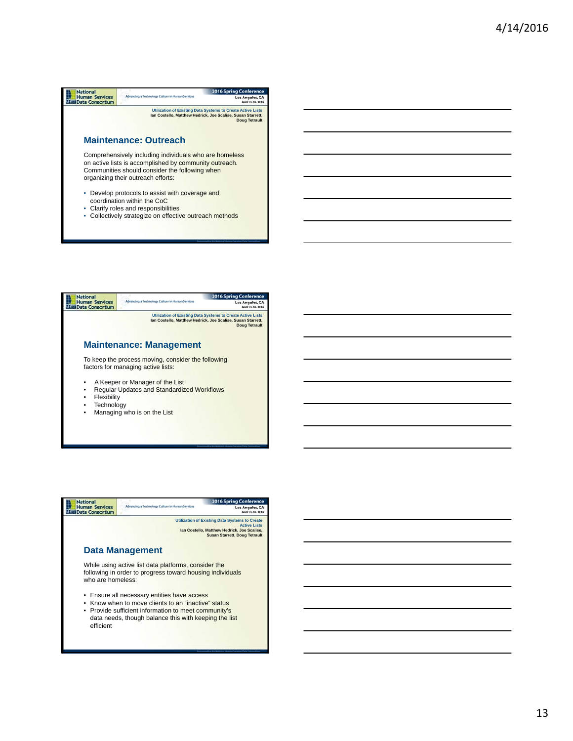### **National**<br>
Human Services<br>
N<sub>152</sub> Data Consortium 2016 Spring Confe Advancing a Tech **Noav Culture in Human Services** Los Angeles, CA **Utilization of Existing Data Systems to Create Active Lists Ian Costello, Matthew Hedrick, Joe Scalise, Susan Starrett, Doug Tetrault Maintenance: Outreach** Comprehensively including individuals who are homeless on active lists is accomplished by community outreach. Communities should consider the following when organizing their outreach efforts: • Develop protocols to assist with coverage and

- coordination within the CoC
- Clarify roles and responsibilities
- Collectively strategize on effective outreach methods



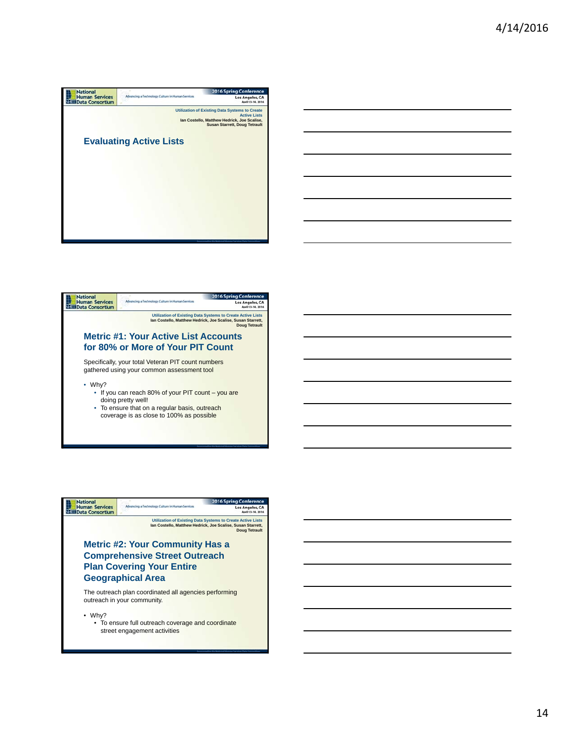